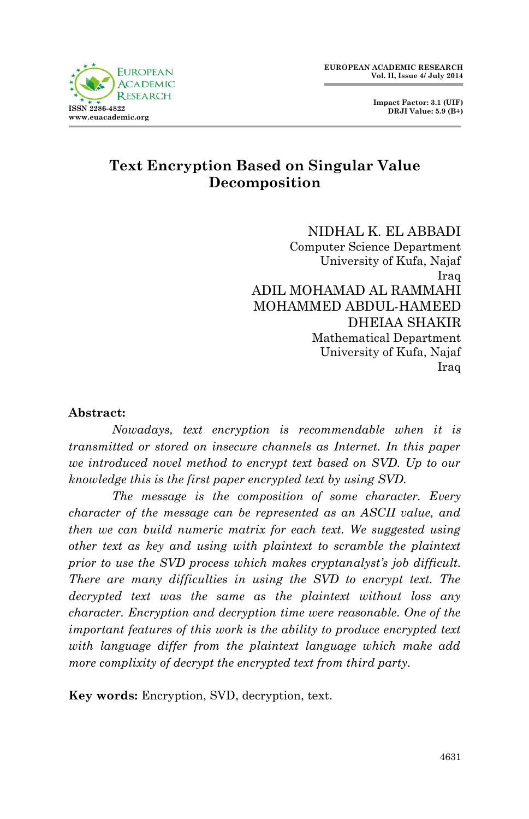

 **Impact Factor: 3.1 (UIF) DRJI Value: 5.9 (B+)**

# **Text Encryption Based on Singular Value Decomposition**

NIDHAL K. EL ABBADI Computer Science Department University of Kufa, Najaf Iraq ADIL MOHAMAD AL RAMMAHI MOHAMMED ABDUL-HAMEED DHEIAA SHAKIR Mathematical Department University of Kufa, Najaf Iraq

### **Abstract:**

*Nowadays, text encryption is recommendable when it is transmitted or stored on insecure channels as Internet. In this paper we introduced novel method to encrypt text based on SVD. Up to our knowledge this is the first paper encrypted text by using SVD.*

*The message is the composition of some character. Every character of the message can be represented as an ASCII value, and then we can build numeric matrix for each text. We suggested using other text as key and using with plaintext to scramble the plaintext prior to use the SVD process which makes cryptanalyst's job difficult. There are many difficulties in using the SVD to encrypt text. The decrypted text was the same as the plaintext without loss any character. Encryption and decryption time were reasonable. One of the important features of this work is the ability to produce encrypted text with language differ from the plaintext language which make add more complixity of decrypt the encrypted text from third party.*

**Key words:** Encryption, SVD, decryption, text.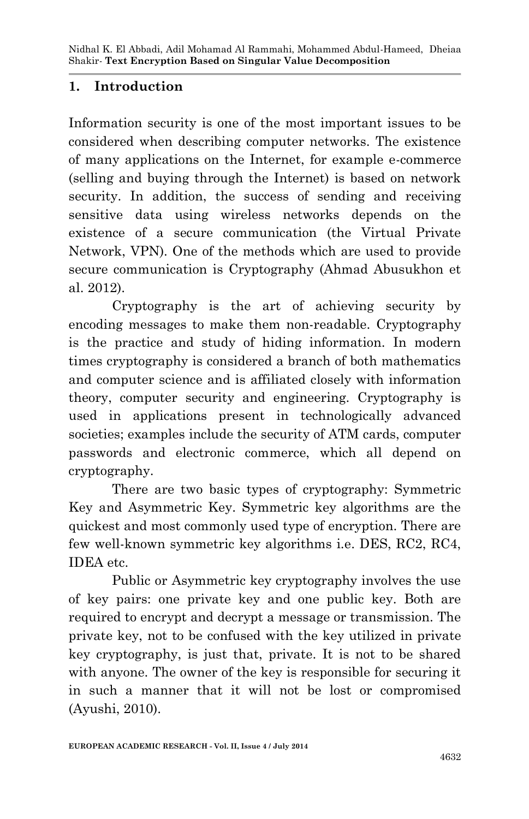# **1. Introduction**

Information security is one of the most important issues to be considered when describing computer networks. The existence of many applications on the Internet, for example e-commerce (selling and buying through the Internet) is based on network security. In addition, the success of sending and receiving sensitive data using wireless networks depends on the existence of a secure communication (the Virtual Private Network, VPN). One of the methods which are used to provide secure communication is Cryptography (Ahmad Abusukhon et al. 2012).

Cryptography is the art of achieving security by encoding messages to make them non-readable. Cryptography is the practice and study of hiding information. In modern times cryptography is considered a branch of both mathematics and computer science and is affiliated closely with information theory, computer security and engineering. Cryptography is used in applications present in technologically advanced societies; examples include the security of ATM cards, computer passwords and electronic commerce, which all depend on cryptography.

There are two basic types of cryptography: Symmetric Key and Asymmetric Key. Symmetric key algorithms are the quickest and most commonly used type of encryption. There are few well-known symmetric key algorithms i.e. DES, RC2, RC4, IDEA etc.

Public or Asymmetric key cryptography involves the use of key pairs: one private key and one public key. Both are required to encrypt and decrypt a message or transmission. The private key, not to be confused with the key utilized in private key cryptography, is just that, private. It is not to be shared with anyone. The owner of the key is responsible for securing it in such a manner that it will not be lost or compromised (Ayushi, 2010).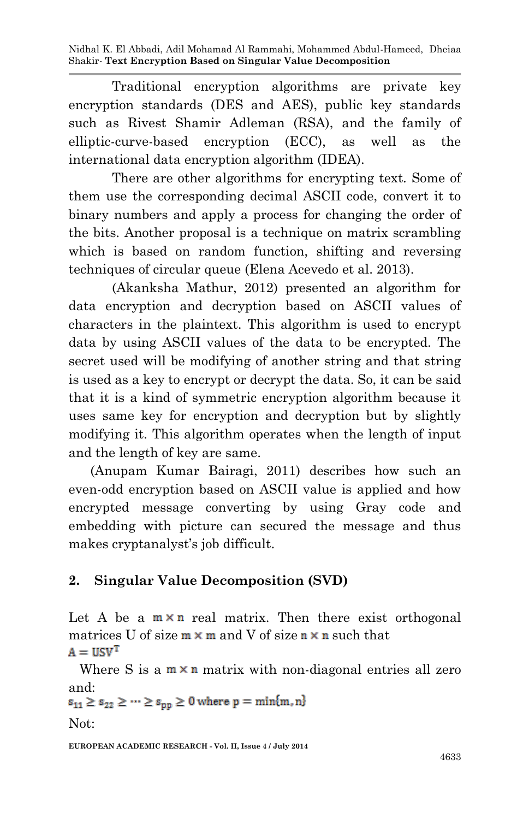Nidhal K. El Abbadi, Adil Mohamad Al Rammahi, Mohammed Abdul-Hameed, Dheiaa Shakir*-* **Text Encryption Based on Singular Value Decomposition**

Traditional encryption algorithms are private key encryption standards (DES and AES), public key standards such as Rivest Shamir Adleman (RSA), and the family of elliptic-curve-based encryption (ECC), as well as the international data encryption algorithm (IDEA).

There are other algorithms for encrypting text. Some of them use the corresponding decimal ASCII code, convert it to binary numbers and apply a process for changing the order of the bits. Another proposal is a technique on matrix scrambling which is based on random function, shifting and reversing techniques of circular queue (Elena Acevedo et al. 2013).

(Akanksha Mathur, 2012) presented an algorithm for data encryption and decryption based on ASCII values of characters in the plaintext. This algorithm is used to encrypt data by using ASCII values of the data to be encrypted. The secret used will be modifying of another string and that string is used as a key to encrypt or decrypt the data. So, it can be said that it is a kind of symmetric encryption algorithm because it uses same key for encryption and decryption but by slightly modifying it. This algorithm operates when the length of input and the length of key are same.

(Anupam Kumar Bairagi, 2011) describes how such an even-odd encryption based on ASCII value is applied and how encrypted message converting by using Gray code and embedding with picture can secured the message and thus makes cryptanalyst's job difficult.

# **2. Singular Value Decomposition (SVD)**

Let A be a  $m \times n$  real matrix. Then there exist orthogonal matrices U of size  $m \times m$  and V of size  $n \times n$  such that  $A = USV<sup>T</sup>$ 

Where S is a  $m \times n$  matrix with non-diagonal entries all zero

```
and:<br>s_{11} \ge s_{22} \ge \cdots \ge s_{np} \ge 0 where p = min\{m, n\}
```
Not:

**EUROPEAN ACADEMIC RESEARCH - Vol. II, Issue 4 / July 2014**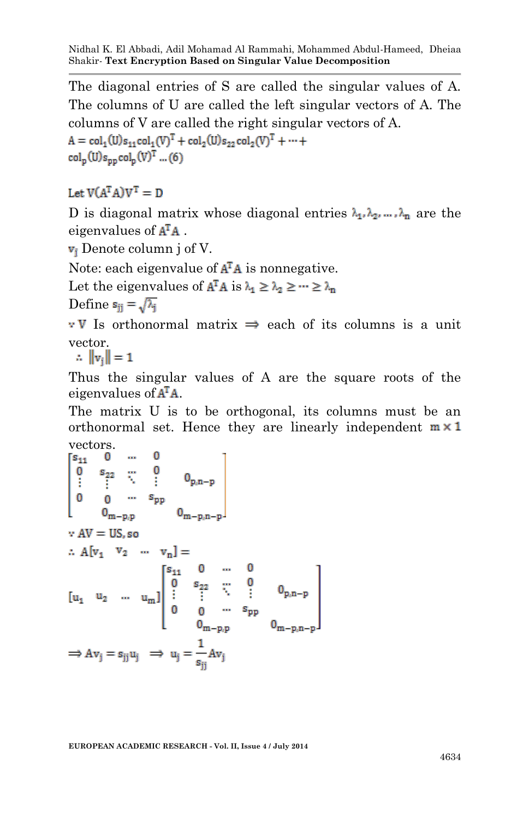Nidhal K. El Abbadi, Adil Mohamad Al Rammahi, Mohammed Abdul-Hameed, Dheiaa Shakir*-* **Text Encryption Based on Singular Value Decomposition**

The diagonal entries of S are called the singular values of A. The columns of U are called the left singular vectors of A. The columns of V are called the right singular vectors of A.  $A = col_1(U)s_{11}col_1(V)^T + col_2(U)s_{22}col_2(V)^T + \cdots$  $col_n(U)s_{nn}col_n(V)^T$  ... (6)

# Let  $V(A^TA)V^T = D$

D is diagonal matrix whose diagonal entries  $\lambda_1, \lambda_2, \ldots, \lambda_n$  are the eigenvalues of  $A<sup>T</sup>A$ .

 $v_i$  Denote column j of V.

Note: each eigenvalue of  $A<sup>T</sup>A$  is nonnegative.

Let the eigenvalues of  $A^TA$  is  $\lambda_1 \geq \lambda_2 \geq \cdots \geq \lambda_n$ 

Define  $s_{ii} = \sqrt{\lambda_i}$ 

 $\cdot$  V Is orthonormal matrix  $\Rightarrow$  each of its columns is a unit vector.<br> $\therefore$   $\|\mathbf{v}_i\| = 1$ 

Thus the singular values of A are the square roots of the eigenvalues of  $A<sup>T</sup>A$ .

The matrix U is to be orthogonal, its columns must be an orthonormal set. Hence they are linearly independent  $m \times 1$ vectors.

$$
\begin{bmatrix} s_{11} & 0 & \cdots & 0 \\ 0 & s_{22} & \cdots & 0 \\ \vdots & \vdots & \ddots & \vdots & 0_{p,n-p} \\ 0 & 0 & \cdots & s_{pp} \\ 0 & 0 & \cdots & s_{pp} \\ \vdots & \vdots & \ddots & \vdots \\ 0 & 0 & \cdots & s_{pp} \\ \vdots & \vdots & \ddots & \vdots \\ 0 & 0 & \cdots & 0 \\ 0 & 0 & \cdots & s_{pp} \\ \vdots & \vdots & \ddots & \vdots \\ 0 & 0 & \cdots & s_{pp} \\ 0 & \cdots & s_{pp} \\ 0 & \cdots & s_{pp} \\ \end{bmatrix}
$$
  
\n
$$
[u_1 \quad u_2 \quad \cdots \quad u_m] \begin{bmatrix} s_{11} & 0 & \cdots & 0 \\ 0 & s_{22} & \cdots & 0 \\ \vdots & \vdots & \ddots & \vdots \\ 0 & 0 & \cdots & s_{pp} \\ 0 & \cdots & s_{pp} \\ 0 & \cdots & s_{pp} \\ 0 & \cdots & s_{pp} \\ 0 & \cdots & s_{pp} \\ \end{bmatrix}
$$
  
\n
$$
\Rightarrow Av_j = s_{jj} u_j \quad \Rightarrow \quad u_j = \frac{1}{s_{jj}} Av_j
$$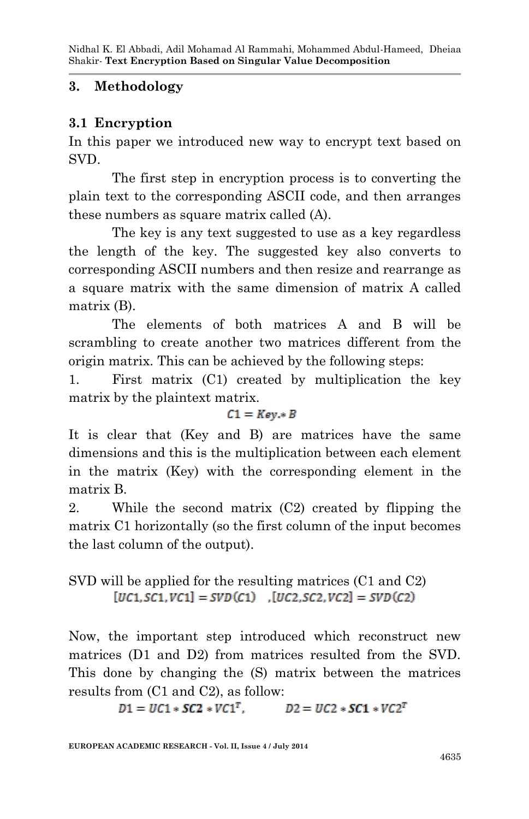## **3. Methodology**

## **3.1 Encryption**

In this paper we introduced new way to encrypt text based on SVD.

The first step in encryption process is to converting the plain text to the corresponding ASCII code, and then arranges these numbers as square matrix called (A).

The key is any text suggested to use as a key regardless the length of the key. The suggested key also converts to corresponding ASCII numbers and then resize and rearrange as a square matrix with the same dimension of matrix A called matrix (B).

The elements of both matrices A and B will be scrambling to create another two matrices different from the origin matrix. This can be achieved by the following steps:

1. First matrix (C1) created by multiplication the key matrix by the plaintext matrix.

### $C1 = Key * B$

It is clear that (Key and B) are matrices have the same dimensions and this is the multiplication between each element in the matrix (Key) with the corresponding element in the matrix B.

2. While the second matrix (C2) created by flipping the matrix C1 horizontally (so the first column of the input becomes the last column of the output).

# SVD will be applied for the resulting matrices (C1 and C2)  $[UC1, SC1, VC1] = SVD(C1)$   $[UC2, SC2, VC2] = SVD(C2)$

Now, the important step introduced which reconstruct new matrices (D1 and D2) from matrices resulted from the SVD. This done by changing the (S) matrix between the matrices results from (C1 and C2), as follow:

$$
D1=UC1*SC2*VC1^T, \hspace{1.5cm} D2=UC2*SC1*VC2^T
$$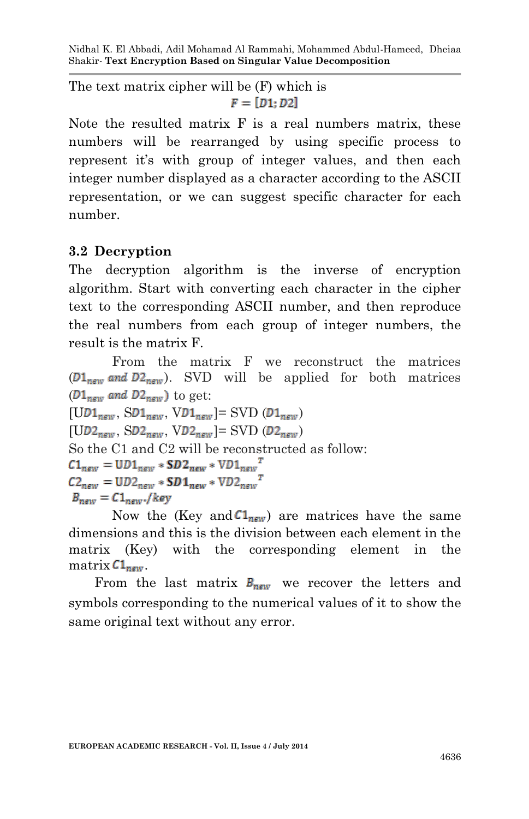The text matrix cipher will be (F) which is  $F = [D1:D2]$ 

Note the resulted matrix F is a real numbers matrix, these numbers will be rearranged by using specific process to represent it's with group of integer values, and then each integer number displayed as a character according to the ASCII representation, or we can suggest specific character for each number.

# **3.2 Decryption**

The decryption algorithm is the inverse of encryption algorithm. Start with converting each character in the cipher text to the corresponding ASCII number, and then reproduce the real numbers from each group of integer numbers, the result is the matrix F.

From the matrix F we reconstruct the matrices  $(D1<sub>new</sub>$  and  $D2<sub>new</sub>$ ). SVD will be applied for both matrices  $(D1_{\text{new}}$  and  $D2_{\text{new}})$  to get:  $[UD1<sub>new</sub>, SD1<sub>new</sub>, VD1<sub>new</sub>] =$  SVD  $(D1<sub>new</sub>)$  $[UD2<sub>new</sub>, SD2<sub>new</sub>, VD2<sub>new</sub>] =$  SVD  $(D2<sub>new</sub>)$ So the C1 and C2 will be reconstructed as follow:  $C1_{new} = UD1_{new} * SD2_{new} * VD1_{new}^T$  $C2_{\text{new}} = \text{UD2}_{\text{new}} * \text{SD1}_{\text{new}} * \text{VD2}_{\text{new}}^T$  $B_{new} = C1_{new}$ ./key

Now the (Key and  $Cl_{new}$ ) are matrices have the same dimensions and this is the division between each element in the matrix (Key) with the corresponding element in the matrix  $C1_{\text{new}}$ .

From the last matrix  $B_{new}$  we recover the letters and symbols corresponding to the numerical values of it to show the same original text without any error.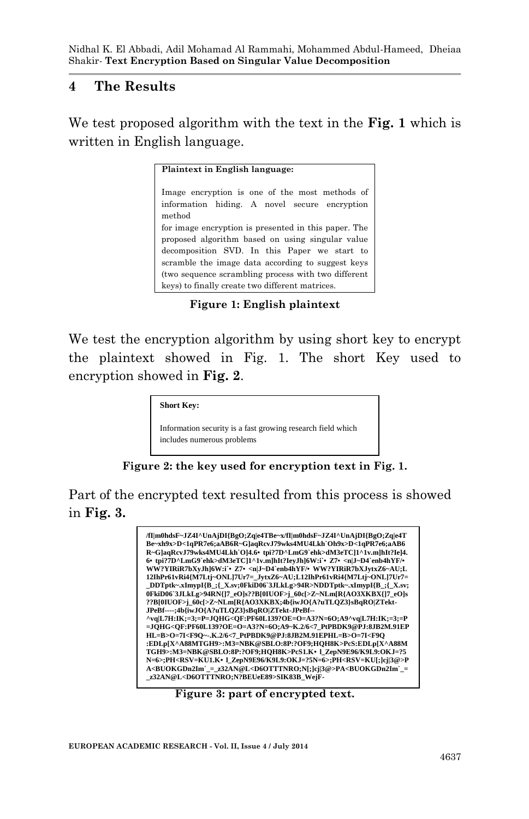### **4 The Results**

We test proposed algorithm with the text in the **Fig. 1** which is written in English language.

#### **Plaintext in English language:**

Image encryption is one of the most methods of information hiding. A novel secure encryption method for image encryption is presented in this paper. The proposed algorithm based on using singular value decomposition SVD. In this Paper we start to scramble the image data according to suggest keys (two sequence scrambling process with two different keys) to finally create two different matrices.

**Figure 1: English plaintext**

We test the encryption algorithm by using short key to encrypt the plaintext showed in Fig. 1. The short Key used to encryption showed in **Fig. 2**.

**Short Key:**

Information security is a fast growing research field which includes numerous problems

**Figure 2: the key used for encryption text in Fig. 1.**

Part of the encrypted text resulted from this process is showed in **Fig. 3.**



**Figure 3: part of encrypted text.**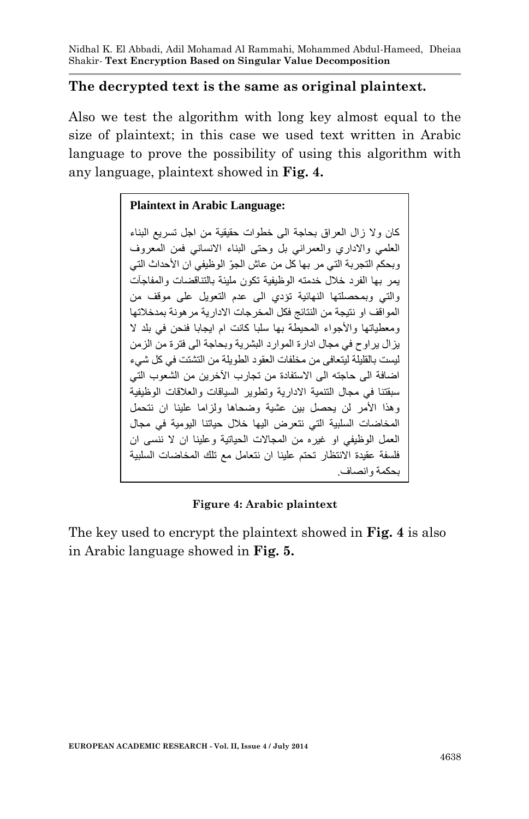### **The decrypted text is the same as original plaintext.**

Also we test the algorithm with long key almost equal to the size of plaintext; in this case we used text written in Arabic language to prove the possibility of using this algorithm with any language, plaintext showed in **Fig. 4.**

### **Plaintext in Arabic Language:**

كان ولا زال العراق بحاجة الى خطوات حقيقية من اجل تسريع البناء العلمي واالداري والعمراني بل وحتى البناء االنساني فمن المعروف وبحكم التجربة التي مر بها كل من عاش الجوّ الوظيفي ان الأحداث التي يمر بها الفرد خالل خدمته الوظيفية تكون مليئة بالتناقضات والمفاجآت والتي وبمحصلتها النهائية تؤدي الى عدم التعويل على موقف من المواقف او نتيجة من النتائج فكل المخرجات االدارية مرهونة بمدخالتها ومعطياتها واألجواء المحيطة بها سلبا كانت ام ايجابا فنحن في بلد ال يزال يراوح في مجال ادارة الموارد البشرية وبحاجة الى فترة من الزمن ليست بالقليلة ليتعافى من مخلفات العقود الطويلة من التشتت في كل شيء اضافة الى حاجته الى االستفادة من تجارب اآلخرين من الشعوب التي سبقتنا في مجال التنمية االدارية وتطوير السياقات والعالقات الوظيفية وهذا األمر لن يحصل بين عشية وضحاها ولزاما علينا ان نتحمل المخاضات السلبية التي نتعرض اليها خالل حياتنا اليومية في مجال العمل الوظيفي او غيره من المجاالت الحياتية وعلينا ان ال ننسى ان فلسفة عقيدة االنتظار تحتم علينا ان نتعامل مع تلك المخاضات السلبية بحكمة وانصاف.

### **Figure 4: Arabic plaintext**

The key used to encrypt the plaintext showed in **Fig. 4** is also in Arabic language showed in **Fig. 5.**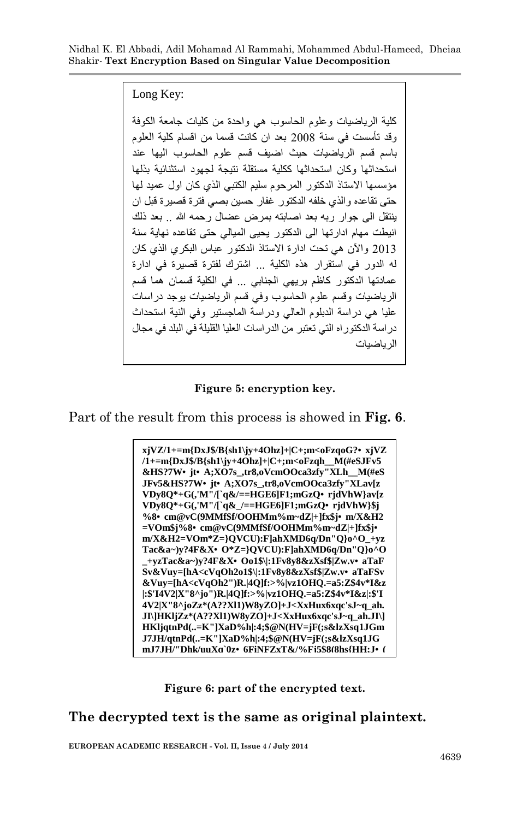Nidhal K. El Abbadi, Adil Mohamad Al Rammahi, Mohammed Abdul-Hameed, Dheiaa Shakir*-* **Text Encryption Based on Singular Value Decomposition**

Long Key:

كلية الرياضيات وعلوم الحاسوب هي واحدة من كليات جامعة الكوفة وقد تأسست في سنة 8002 بعد ان كانت قسما من اقسام كلية العلوم باسم قسم الرياضيات حيث اضيف قسم علوم الحاسوب اليها عند استحداثها وكان استحداثها ككلية مستقلة نتيجة لجهود استثنائية بذلها مؤسسها االستاذ الدكتور المرحوم سليم الكتبي الذي كان اول عميد لها حتى تقاعده والذي خلفه الدكتور غفار حسين بصي فترة قصيرة قبل ان بنتقل الى جوار ربه بعد اصابته بمرض عضال رحمه الله .. بعد ذلك انيطت مهام ادارتها الى الدكتور يحيى الميالي حتى تقاعده نهاية سنة 8002 واآلن هي تحت ادارة االستاذ الدكتور عباس البكري الذي كان له الدور في استقرار هذه الكلية ... اشترك لفترة قصيرة في ادارة عمادتها الدكتور كاظم بريهي الجنابي ... في الكلية قسمان هما قسم الرياضيات وقسم علوم الحاسوب وفي قسم الرياضيات يوجد دراسات عليا هي دراسة الدبلوم العالي ودراسة الماجستير وفي النية استحداث دراسة الدكتوراه التي تعتبر من الدراسات العليا القليلة في البلد في مجال الرياضيات

#### **Figure 5: encryption key.**

Part of the result from this process is showed in **Fig. 6**.



**Figure 6: part of the encrypted text.**

**The decrypted text is the same as original plaintext.**

**EUROPEAN ACADEMIC RESEARCH - Vol. II, Issue 4 / July 2014**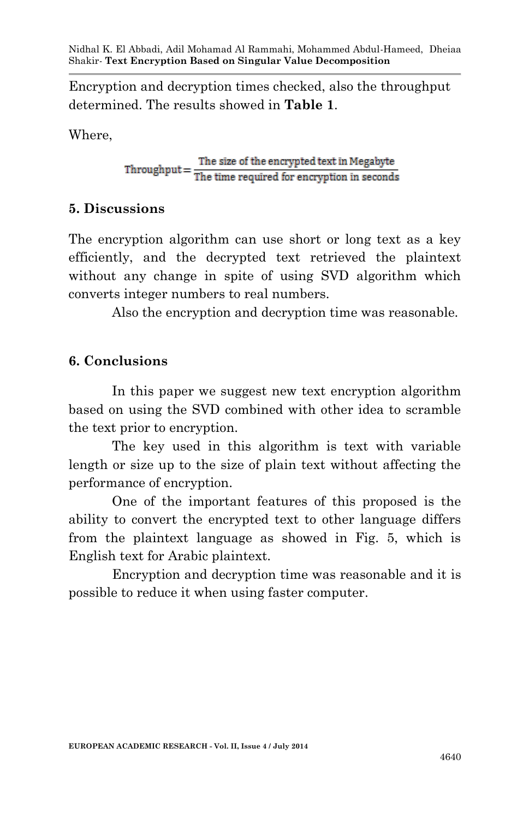Encryption and decryption times checked, also the throughput determined. The results showed in **Table 1**.

Where,

 $Throughout = \frac{The size of the encrypted text in Megabyte}{The time required for encryption in seconds}$ 

# **5. Discussions**

The encryption algorithm can use short or long text as a key efficiently, and the decrypted text retrieved the plaintext without any change in spite of using SVD algorithm which converts integer numbers to real numbers.

Also the encryption and decryption time was reasonable.

# **6. Conclusions**

In this paper we suggest new text encryption algorithm based on using the SVD combined with other idea to scramble the text prior to encryption.

The key used in this algorithm is text with variable length or size up to the size of plain text without affecting the performance of encryption.

One of the important features of this proposed is the ability to convert the encrypted text to other language differs from the plaintext language as showed in Fig. 5, which is English text for Arabic plaintext.

Encryption and decryption time was reasonable and it is possible to reduce it when using faster computer.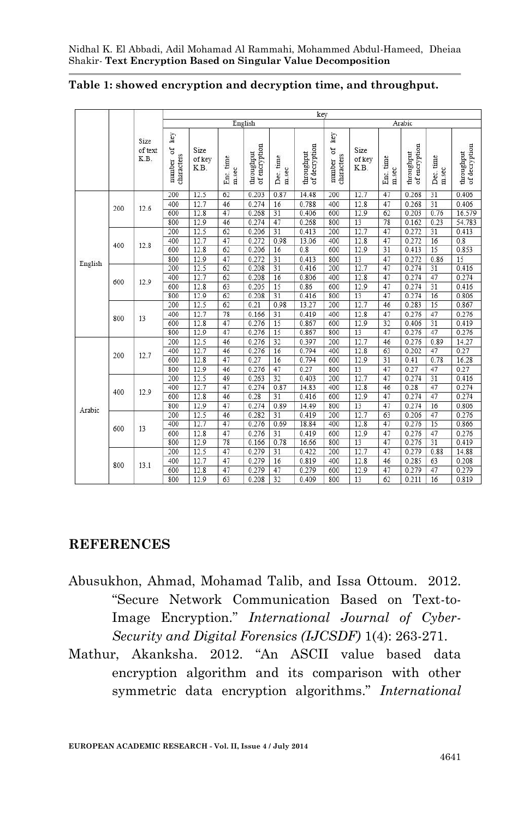|         |     | Size<br>of text<br>K.B. | key                               |                        |                    |                             |                    |                             |                                  |                        |                    |                             |                    |                             |
|---------|-----|-------------------------|-----------------------------------|------------------------|--------------------|-----------------------------|--------------------|-----------------------------|----------------------------------|------------------------|--------------------|-----------------------------|--------------------|-----------------------------|
|         |     |                         | English                           |                        |                    |                             |                    |                             | Arabic                           |                        |                    |                             |                    |                             |
|         |     |                         | key<br>σf<br>characters<br>number | Size<br>of key<br>K.B. | Enc. time<br>m.sec | throughput<br>of encryption | Dec. time<br>m.sec | of decryption<br>throughput | key<br>ð<br>characters<br>number | Size<br>of key<br>K.B. | Enc. time<br>m.sec | of encryption<br>throughput | Dec. time<br>m.sec | of decryption<br>throughput |
| English | 200 | 12.6                    | 200                               | 12.5                   | 62                 | 0.203                       | 0.87               | 14.48                       | 200                              | 12.7                   | 47                 | 0.268                       | 31                 | 0.406                       |
|         |     |                         | 400                               | 12.7                   | 46                 | 0.274                       | 16                 | 0.788                       | 400                              | 12.8                   | 47                 | 0.268                       | 31                 | 0.406                       |
|         |     |                         | 600                               | 12.8                   | 47                 | 0.268                       | 31                 | 0.406                       | 600                              | 12.9                   | 62                 | 0.203                       | 0.76               | 16.579                      |
|         |     |                         | 800                               | 12.9                   | 46                 | 0.274                       | 47                 | 0.268                       | 800                              | 13                     | 78                 | 0.162                       | 0.23               | 54.783                      |
|         | 400 | 12.8                    | 200                               | 12.5                   | 62                 | 0.206                       | 31                 | 0.413                       | 200                              | 12.7                   | 47                 | 0.272                       | 31                 | 0.413                       |
|         |     |                         | 400                               | 12.7                   | 47                 | 0.272                       | 0.98               | 13.06                       | 400                              | 12.8                   | 47                 | 0.272                       | 16                 | 0.8                         |
|         |     |                         | 600                               | 12.8                   | 62                 | 0.206                       | 16                 | 0.8                         | 600                              | 12.9                   | 31                 | 0.413                       | 15                 | 0.853                       |
|         |     |                         | 800                               | 12.9                   | 47                 | 0.272                       | 31                 | 0.413                       | 800                              | 13                     | 47                 | 0.272                       | 0.86               | 15                          |
|         | 600 | 12.9                    | 200                               | 12.5                   | 62                 | 0.208                       | 31                 | 0.416                       | 200                              | 12.7                   | 47                 | 0.274                       | 31                 | 0.416                       |
|         |     |                         | 400                               | 12.7                   | 62                 | 0.208                       | 16                 | 0.806                       | 400                              | 12.8                   | 47                 | 0.274                       | 47                 | 0.274                       |
|         |     |                         | 600                               | 12.8                   | 63                 | 0.205                       | 15                 | 0.86                        | 600                              | 12.9                   | 47                 | 0.274                       | 31                 | 0.416                       |
|         |     |                         | 800                               | 12.9                   | 62                 | 0.208                       | 31                 | 0.416                       | 800                              | 13                     | 47                 | 0.274                       | 16                 | 0.806                       |
|         | 800 | 13                      | 200                               | 12.5                   | 62                 | 0.21                        | 0.98               | 13.27                       | 200                              | 12.7                   | 46                 | 0.283                       | 15                 | 0.867                       |
|         |     |                         | 400                               | 12.7                   | 78                 | 0.166                       | 31                 | 0.419                       | 400                              | 12.8                   | 47                 | 0.276                       | 47                 | 0.276                       |
|         |     |                         | 600                               | 12.8                   | 47                 | 0.276                       | 15                 | 0.867                       | 600                              | 12.9                   | 32                 | 0.406                       | 31                 | 0.419                       |
|         |     |                         | 800                               | 12.9                   | 47                 | 0.276                       | 15                 | 0.867                       | 800                              | 13                     | 47                 | 0.276                       | 47                 | 0.276                       |
| Arabic  | 200 | 12.7                    | 200                               | 12.5                   | 46                 | 0.276                       | 32                 | 0.397                       | 200                              | 12.7                   | 46                 | 0.276                       | 0.89               | 14.27                       |
|         |     |                         | 400                               | 12.7                   | 46                 | 0.276                       | 16                 | 0.794                       | 400                              | 12.8                   | 63                 | 0.202                       | 47                 | 0.27                        |
|         |     |                         | 600                               | 12.8                   | 47                 | 0.27                        | 16                 | 0.794                       | 600                              | 12.9                   | $\overline{31}$    | 0.41                        | 0.78               | 16.28                       |
|         |     |                         | 800                               | 12.9                   | 46                 | 0.276                       | 47                 | 0.27                        | 800                              | 13                     | 47                 | 0.27                        | 47                 | 0.27                        |
|         | 400 | 12.9                    | 200                               | 12.5                   | 49                 | 0.263                       | 32                 | 0.403                       | 200                              | 12.7                   | 47                 | 0.274                       | $\overline{31}$    | 0.416                       |
|         |     |                         | 400                               | 12.7                   | 47                 | 0.274                       | 0.87               | 14.83                       | 400                              | 12.8                   | 46                 | 0.28                        | 47                 | 0.274                       |
|         |     |                         | 600                               | 12.8                   | 46                 | 0.28                        | 31                 | 0.416                       | 600                              | 12.9                   | 47                 | 0.274                       | 47                 | 0.274                       |
|         |     |                         | 800                               | 12.9                   | 47                 | 0.274                       | 0.89               | 14.49                       | 800                              | 13                     | 47                 | 0.274                       | 16                 | 0.806                       |
|         | 600 | 13                      | 200                               | 12.5                   | 46                 | 0.282                       | $\overline{31}$    | 0.419                       | 200                              | 12.7                   | 63                 | 0.206                       | 47                 | 0.276                       |
|         |     |                         | 400                               | 12.7                   | 47                 | 0.276                       | 0.69               | 18.84                       | 400                              | 12.8                   | 47                 | 0.276                       | $\overline{15}$    | 0.866                       |
|         |     |                         | 600                               | 12.8                   | 47                 | 0.276                       | 31                 | 0.419                       | 600                              | 12.9                   | 47                 | 0.276                       | 47                 | 0.276                       |
|         |     |                         | 800                               | 12.9                   | 78                 | 0.166                       | 0.78               | 16.66                       | 800                              | $\overline{13}$        | 47                 | 0.276                       | $\overline{31}$    | 0.419                       |
|         | 800 | 13.1                    | 200                               | 12.5                   | 47                 | 0.279                       | $\overline{31}$    | 0.422                       | 200                              | 12.7                   | 47                 | 0.279                       | 0.88               | 14.88                       |
|         |     |                         | 400                               | 12.7                   | 47                 | 0.279                       | 16                 | 0.819                       | 400                              | 12.8                   | 46                 | 0.285                       | 63                 | 0.208                       |
|         |     |                         | 600                               | 12.8                   | 47                 | 0.279                       | 47                 | 0.279                       | 600                              | 12.9                   | 47                 | 0.279                       | 47                 | 0.279                       |
|         |     |                         | 800                               | 12.9                   | 63                 | 0.208                       | 32                 | 0.409                       | 800                              | 13                     | 62                 | 0.211                       | 16                 | 0.819                       |

#### **Table 1: showed encryption and decryption time, and throughput.**

### **REFERENCES**

- Abusukhon, Ahmad, Mohamad Talib, and Issa Ottoum. 2012. "Secure Network Communication Based on Text-to-Image Encryption." *International Journal of Cyber-Security and Digital Forensics (IJCSDF)* 1(4): 263-271.
- Mathur, Akanksha. 2012. "An ASCII value based data encryption algorithm and its comparison with other symmetric data encryption algorithms." *International*